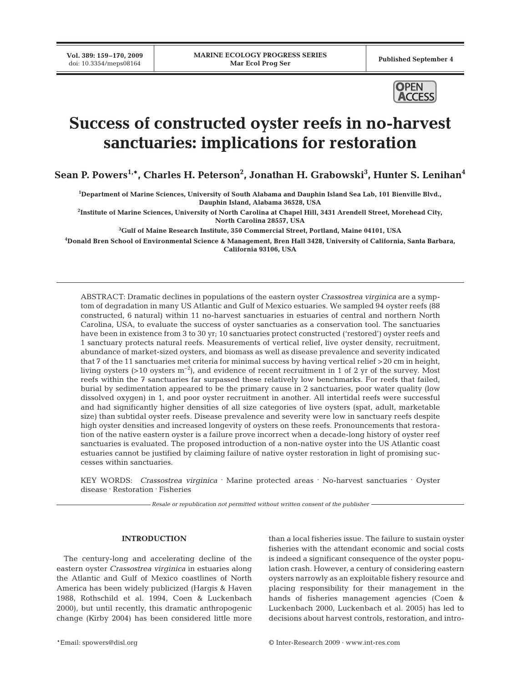**Vol. 389: 159–170, 2009**



# **Success of constructed oyster reefs in no-harvest sanctuaries: implications for restoration**

**Sean P. Powers1,\*, Charles H. Peterson2 , Jonathan H. Grabowski3 , Hunter S. Lenihan4**

**1 Department of Marine Sciences, University of South Alabama and Dauphin Island Sea Lab, 101 Bienville Blvd., Dauphin Island, Alabama 36528, USA**

**2 Institute of Marine Sciences, University of North Carolina at Chapel Hill, 3431 Arendell Street, Morehead City, North Carolina 28557, USA**

**3 Gulf of Maine Research Institute, 350 Commercial Street, Portland, Maine 04101, USA**

**4 Donald Bren School of Environmental Science & Management, Bren Hall 3428, University of California, Santa Barbara, California 93106, USA**

ABSTRACT: Dramatic declines in populations of the eastern oyster *Crassostrea virginica* are a symptom of degradation in many US Atlantic and Gulf of Mexico estuaries. We sampled 94 oyster reefs (88 constructed, 6 natural) within 11 no-harvest sanctuaries in estuaries of central and northern North Carolina, USA, to evaluate the success of oyster sanctuaries as a conservation tool. The sanctuaries have been in existence from 3 to 30 yr; 10 sanctuaries protect constructed ('restored') oyster reefs and 1 sanctuary protects natural reefs. Measurements of vertical relief, live oyster density, recruitment, abundance of market-sized oysters, and biomass as well as disease prevalence and severity indicated that 7 of the 11 sanctuaries met criteria for minimal success by having vertical relief >20 cm in height, living oysters  $(>10 \text{ oystems m}^{-2})$ , and evidence of recent recruitment in 1 of 2 yr of the survey. Most reefs within the 7 sanctuaries far surpassed these relatively low benchmarks. For reefs that failed, burial by sedimentation appeared to be the primary cause in 2 sanctuaries, poor water quality (low dissolved oxygen) in 1, and poor oyster recruitment in another. All intertidal reefs were successful and had significantly higher densities of all size categories of live oysters (spat, adult, marketable size) than subtidal oyster reefs. Disease prevalence and severity were low in sanctuary reefs despite high oyster densities and increased longevity of oysters on these reefs. Pronouncements that restoration of the native eastern oyster is a failure prove incorrect when a decade-long history of oyster reef sanctuaries is evaluated. The proposed introduction of a non-native oyster into the US Atlantic coast estuaries cannot be justified by claiming failure of native oyster restoration in light of promising successes within sanctuaries.

KEY WORDS: *Crassostrea virginica* **.** Marine protected areas **.** No-harvest sanctuaries **.** Oyster disease **.** Restoration **.** Fisheries

*Resale or republication not permitted without written consent of the publisher*

# **INTRODUCTION**

The century-long and accelerating decline of the eastern oyster *Crassostrea virginica* in estuaries along the Atlantic and Gulf of Mexico coastlines of North America has been widely publicized (Hargis & Haven 1988, Rothschild et al. 1994, Coen & Luckenbach 2000), but until recently, this dramatic anthropogenic change (Kirby 2004) has been considered little more

than a local fisheries issue. The failure to sustain oyster fisheries with the attendant economic and social costs is indeed a significant consequence of the oyster population crash. However, a century of considering eastern oysters narrowly as an exploitable fishery resource and placing responsibility for their management in the hands of fisheries management agencies (Coen & Luckenbach 2000, Luckenbach et al. 2005) has led to decisions about harvest controls, restoration, and intro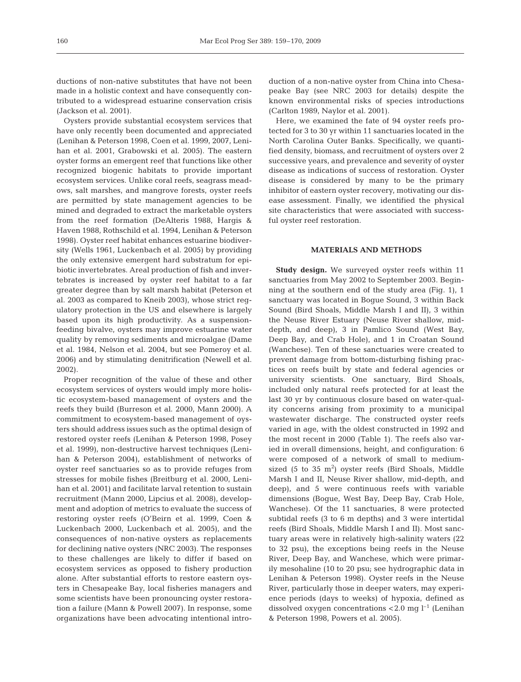ductions of non-native substitutes that have not been made in a holistic context and have consequently contributed to a widespread estuarine conservation crisis (Jackson et al. 2001).

Oysters provide substantial ecosystem services that have only recently been documented and appreciated (Lenihan & Peterson 1998, Coen et al. 1999, 2007, Lenihan et al. 2001, Grabowski et al. 2005). The eastern oyster forms an emergent reef that functions like other recognized biogenic habitats to provide important ecosystem services. Unlike coral reefs, seagrass meadows, salt marshes, and mangrove forests, oyster reefs are permitted by state management agencies to be mined and degraded to extract the marketable oysters from the reef formation (DeAlteris 1988, Hargis & Haven 1988, Rothschild et al. 1994, Lenihan & Peterson 1998). Oyster reef habitat enhances estuarine biodiversity (Wells 1961, Luckenbach et al. 2005) by providing the only extensive emergent hard substratum for epibiotic invertebrates. Areal production of fish and invertebrates is increased by oyster reef habitat to a far greater degree than by salt marsh habitat (Peterson et al. 2003 as compared to Kneib 2003), whose strict regulatory protection in the US and elsewhere is largely based upon its high productivity. As a suspensionfeeding bivalve, oysters may improve estuarine water quality by removing sediments and microalgae (Dame et al. 1984, Nelson et al. 2004, but see Pomeroy et al. 2006) and by stimulating denitrification (Newell et al. 2002).

Proper recognition of the value of these and other ecosystem services of oysters would imply more holistic ecosystem-based management of oysters and the reefs they build (Burreson et al. 2000, Mann 2000). A commitment to ecosystem-based management of oysters should address issues such as the optimal design of restored oyster reefs (Lenihan & Peterson 1998, Posey et al. 1999), non-destructive harvest techniques (Lenihan & Peterson 2004), establishment of networks of oyster reef sanctuaries so as to provide refuges from stresses for mobile fishes (Breitburg et al. 2000, Lenihan et al. 2001) and facilitate larval retention to sustain recruitment (Mann 2000, Lipcius et al. 2008), development and adoption of metrics to evaluate the success of restoring oyster reefs (O'Beirn et al. 1999, Coen & Luckenbach 2000, Luckenbach et al. 2005), and the consequences of non-native oysters as replacements for declining native oysters (NRC 2003). The responses to these challenges are likely to differ if based on ecosystem services as opposed to fishery production alone. After substantial efforts to restore eastern oysters in Chesapeake Bay, local fisheries managers and some scientists have been pronouncing oyster restoration a failure (Mann & Powell 2007). In response, some organizations have been advocating intentional introduction of a non-native oyster from China into Chesapeake Bay (see NRC 2003 for details) despite the known environmental risks of species introductions (Carlton 1989, Naylor et al. 2001).

Here, we examined the fate of 94 oyster reefs protected for 3 to 30 yr within 11 sanctuaries located in the North Carolina Outer Banks. Specifically, we quantified density, biomass, and recruitment of oysters over 2 successive years, and prevalence and severity of oyster disease as indications of success of restoration. Oyster disease is considered by many to be the primary inhibitor of eastern oyster recovery, motivating our disease assessment. Finally, we identified the physical site characteristics that were associated with successful oyster reef restoration.

## **MATERIALS AND METHODS**

**Study design.** We surveyed oyster reefs within 11 sanctuaries from May 2002 to September 2003. Beginning at the southern end of the study area (Fig. 1), 1 sanctuary was located in Bogue Sound, 3 within Back Sound (Bird Shoals, Middle Marsh I and II), 3 within the Neuse River Estuary (Neuse River shallow, middepth, and deep), 3 in Pamlico Sound (West Bay, Deep Bay, and Crab Hole), and 1 in Croatan Sound (Wanchese). Ten of these sanctuaries were created to prevent damage from bottom-disturbing fishing practices on reefs built by state and federal agencies or university scientists. One sanctuary, Bird Shoals, included only natural reefs protected for at least the last 30 yr by continuous closure based on water-quality concerns arising from proximity to a municipal wastewater discharge. The constructed oyster reefs varied in age, with the oldest constructed in 1992 and the most recent in 2000 (Table 1). The reefs also varied in overall dimensions, height, and configuration: 6 were composed of a network of small to mediumsized (5 to 35  $m<sup>2</sup>$ ) oyster reefs (Bird Shoals, Middle Marsh I and II, Neuse River shallow, mid-depth, and deep), and 5 were continuous reefs with variable dimensions (Bogue, West Bay, Deep Bay, Crab Hole, Wanchese). Of the 11 sanctuaries, 8 were protected subtidal reefs (3 to 6 m depths) and 3 were intertidal reefs (Bird Shoals, Middle Marsh I and II). Most sanctuary areas were in relatively high-salinity waters (22 to 32 psu), the exceptions being reefs in the Neuse River, Deep Bay, and Wanchese, which were primarily mesohaline (10 to 20 psu; see hydrographic data in Lenihan & Peterson 1998). Oyster reefs in the Neuse River, particularly those in deeper waters, may experience periods (days to weeks) of hypoxia, defined as dissolved oxygen concentrations  $< 2.0$  mg l<sup>-1</sup> (Lenihan & Peterson 1998, Powers et al. 2005).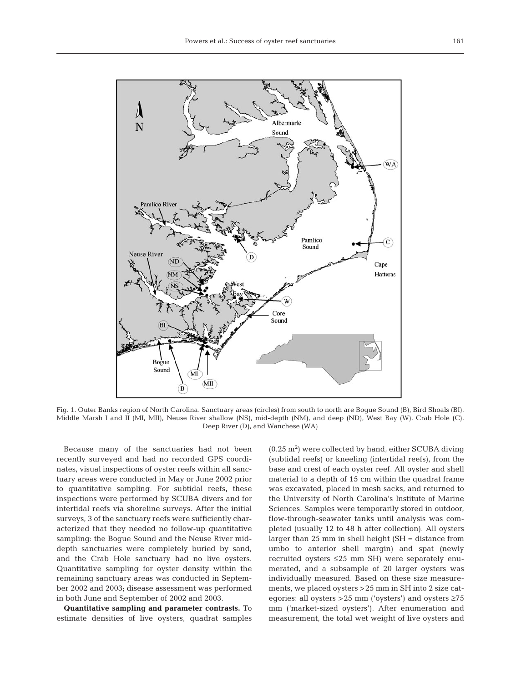

Fig. 1. Outer Banks region of North Carolina. Sanctuary areas (circles) from south to north are Bogue Sound (B), Bird Shoals (BI), Middle Marsh I and II (MI, MII), Neuse River shallow (NS), mid-depth (NM), and deep (ND), West Bay (W), Crab Hole (C), Deep River (D), and Wanchese (WA)

Because many of the sanctuaries had not been recently surveyed and had no recorded GPS coordinates, visual inspections of oyster reefs within all sanctuary areas were conducted in May or June 2002 prior to quantitative sampling. For subtidal reefs, these inspections were performed by SCUBA divers and for intertidal reefs via shoreline surveys. After the initial surveys, 3 of the sanctuary reefs were sufficiently characterized that they needed no follow-up quantitative sampling: the Bogue Sound and the Neuse River middepth sanctuaries were completely buried by sand, and the Crab Hole sanctuary had no live oysters. Quantitative sampling for oyster density within the remaining sanctuary areas was conducted in September 2002 and 2003; disease assessment was performed in both June and September of 2002 and 2003.

**Quantitative sampling and parameter contrasts.** To estimate densities of live oysters, quadrat samples  $(0.25 \text{ m}^2)$  were collected by hand, either SCUBA diving (subtidal reefs) or kneeling (intertidal reefs), from the base and crest of each oyster reef. All oyster and shell material to a depth of 15 cm within the quadrat frame was excavated, placed in mesh sacks, and returned to the University of North Carolina's Institute of Marine Sciences. Samples were temporarily stored in outdoor, flow-through-seawater tanks until analysis was completed (usually 12 to 48 h after collection). All oysters larger than 25 mm in shell height (SH = distance from umbo to anterior shell margin) and spat (newly recruited oysters ≤25 mm SH) were separately enumerated, and a subsample of 20 larger oysters was individually measured. Based on these size measurements, we placed oysters >25 mm in SH into 2 size categories: all oysters >25 mm ('oysters') and oysters ≥75 mm ('market-sized oysters'). After enumeration and measurement, the total wet weight of live oysters and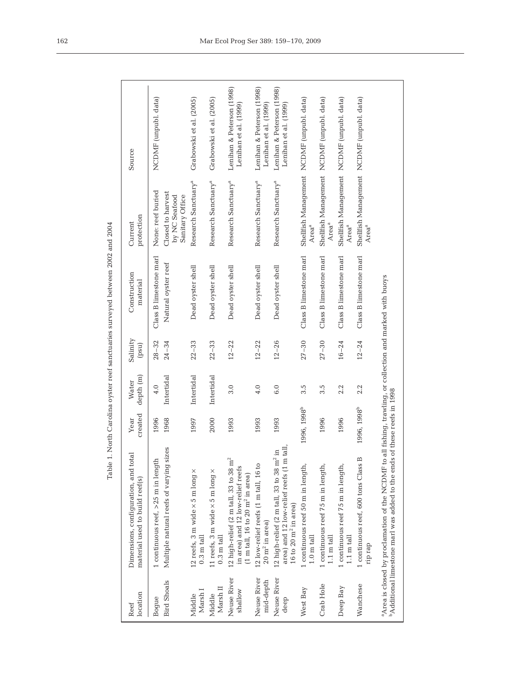| location<br>Reef            | Dimensions, configuration, and total<br>material used to build reef(s)                                                                                                        | created<br>Year         | depth (m)<br>Water | Salinity<br>(psu)      | Construction<br>material                                   | protection<br>Current                                   | Source                                             |
|-----------------------------|-------------------------------------------------------------------------------------------------------------------------------------------------------------------------------|-------------------------|--------------------|------------------------|------------------------------------------------------------|---------------------------------------------------------|----------------------------------------------------|
| <b>Bird Shoals</b><br>Bogue | Multiple natural reefs of varying sizes<br>1 continuous $\text{reef}_1 > 25$ m in length                                                                                      | 1996<br>1968            | Intertidal<br>4.0  | $28 - 32$<br>$24 - 34$ | Class B limestone marl<br>Natural oyster reef              | None: reef buried<br>Closed to harvest<br>by NC Seafood | NCDMF (unpubl. data)                               |
| Marsh I<br>Middle           | 12 reefs, 3 m wide $\times$ 5 m long $\times$<br>$0.3 \text{ m tall}$                                                                                                         | 1997                    | Intertidal         | $22 - 33$              | Dead oyster shell                                          | Research Sanctuary <sup>a</sup><br>Sanitary Office      | Grabowski et al. (2005)                            |
| Marsh II<br>Middle          | 11 reefs, 3 m wide $\times$ 5 m long $\times$<br>$0.3 \text{ m tall}$                                                                                                         | 2000                    | Intertidal         | $22 - 33$              | Dead oyster shell                                          | Research Sanctuary <sup>a</sup>                         | Grabowski et al. (2005)                            |
| Neuse River<br>shallow      | 12 high-relief $(2 \text{ m tall}, 33 \text{ to } 38 \text{ m}^2)$<br>in area) and 12 low-relief reefs<br>$(1 \text{ m tall}, 16 \text{ to } 20 \text{ m}^2 \text{ in area})$ | 1993                    | 3.0                | $12 - 22$              | Dead oyster shell                                          | Research Sanctuary <sup>a</sup>                         | Lenihan & Peterson (1998)<br>Lenihan et al. (1999) |
| Neuse River<br>mid-depth    | 12 low-relief reefs (1 m tall, 16 to<br>$20 \text{ m}^2$ in area)                                                                                                             | 1993                    | 4.0                | $12 - 22$              | Dead oyster shell                                          | Research Sanctuary <sup>a</sup>                         | Lenihan & Peterson (1998)<br>Lenihan et al. (1999) |
| Neuse River<br>deep         | tall.<br>$\Xi$<br>12 high-relief (2 m tall, 33 to 38 $m^2$<br>area) and 12 low-relief reefs (1 m<br>16 to 20 $m^2$ in area)                                                   | 1993                    | 6.0                | $12 - 26$              | Dead oyster shell                                          | Research Sanctuary <sup>a</sup>                         | Lenihan & Peterson (1998)<br>Lenihan et al. (1999) |
| West Bay                    | 1 continuous reef 50 m in length,<br>$1.0 \text{ m}$ tall                                                                                                                     | 1996, 1998 <sup>b</sup> | 3.5                | $27 - 30$              | Class B limestone marl                                     | Area <sup>a</sup>                                       | Shellfish Management NCDMF (unpubl. data)          |
| Crab Hole                   | 1 continuous reef 75 m in length,<br>$1.1 \text{ m}$ tall                                                                                                                     | 1996                    | 3.5                | $27 - 30$              | Class B limestone marl                                     | Area <sup>a</sup>                                       | Shellfish Management NCDMF (unpubl. data)          |
| Deep Bay                    | 1 continuous reef 75 m in length,<br>$1.1 \text{ m}$ tall                                                                                                                     | 1996                    | 2.2                | $16 - 24$              | Class B limestone marl                                     | Area <sup>a</sup>                                       | Shellfish Management NCDMF (unpubl. data)          |
| Wanchese                    | 1 continuous reef, 600 tons Class B<br>rip rap                                                                                                                                | 1996, 1998 <sup>b</sup> | 2.2                | $12 - 24$              | Class B limestone marl                                     | Area <sup>a</sup>                                       | Shellfish Management NCDMF (unpubl. data)          |
|                             | <sup>b</sup> Additional limestone marl was added to the ends<br><sup>a</sup> Area is closed by proclamation of the NCDMF to                                                   | of these reefs in 1998  |                    |                        | all fishing, trawling, or collection and marked with buoys |                                                         |                                                    |

Table 1. North Carolina oyster reef sanctuaries surveyed between 2002 and 2004 Table 1. North Carolina oyster reef sanctuaries surveyed between 2002 and 2004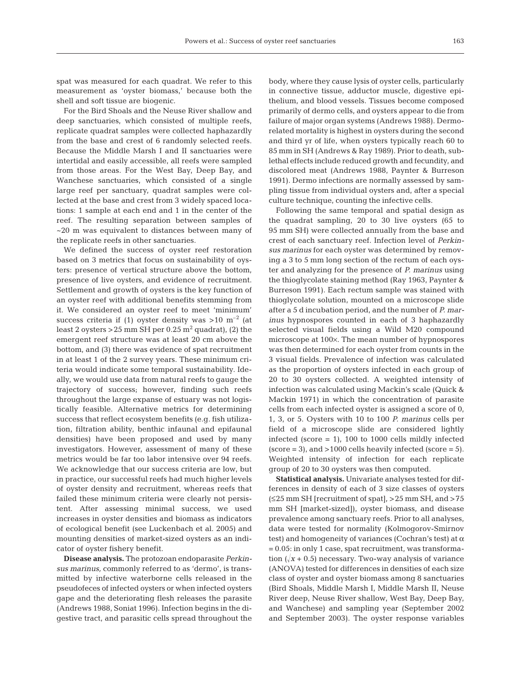spat was measured for each quadrat. We refer to this measurement as 'oyster biomass,' because both the shell and soft tissue are biogenic.

For the Bird Shoals and the Neuse River shallow and deep sanctuaries, which consisted of multiple reefs, replicate quadrat samples were collected haphazardly from the base and crest of 6 randomly selected reefs. Because the Middle Marsh I and II sanctuaries were intertidal and easily accessible, all reefs were sampled from those areas. For the West Bay, Deep Bay, and Wanchese sanctuaries, which consisted of a single large reef per sanctuary, quadrat samples were collected at the base and crest from 3 widely spaced locations: 1 sample at each end and 1 in the center of the reef. The resulting separation between samples of ~20 m was equivalent to distances between many of the replicate reefs in other sanctuaries.

We defined the success of oyster reef restoration based on 3 metrics that focus on sustainability of oysters: presence of vertical structure above the bottom, presence of live oysters, and evidence of recruitment. Settlement and growth of oysters is the key function of an oyster reef with additional benefits stemming from it. We considered an oyster reef to meet 'minimum' success criteria if (1) oyster density was  $>10$  m<sup>-2</sup> (at least 2 oysters > 25 mm SH per  $0.25$  m<sup>2</sup> quadrat), (2) the emergent reef structure was at least 20 cm above the bottom, and (3) there was evidence of spat recruitment in at least 1 of the 2 survey years. These minimum criteria would indicate some temporal sustainability. Ideally, we would use data from natural reefs to gauge the trajectory of success; however, finding such reefs throughout the large expanse of estuary was not logistically feasible. Alternative metrics for determining success that reflect ecosystem benefits (e.g. fish utilization, filtration ability, benthic infaunal and epifaunal densities) have been proposed and used by many investigators. However, assessment of many of these metrics would be far too labor intensive over 94 reefs. We acknowledge that our success criteria are low, but in practice, our successful reefs had much higher levels of oyster density and recruitment, whereas reefs that failed these minimum criteria were clearly not persistent. After assessing minimal success, we used increases in oyster densities and biomass as indicators of ecological benefit (see Luckenbach et al. 2005) and mounting densities of market-sized oysters as an indicator of oyster fishery benefit.

**Disease analysis.** The protozoan endoparasite *Perkinsus marinus,* commonly referred to as 'dermo', is transmitted by infective waterborne cells released in the pseudofeces of infected oysters or when infected oysters gape and the deteriorating flesh releases the parasite (Andrews 1988, Soniat 1996). Infection begins in the digestive tract, and parasitic cells spread throughout the body, where they cause lysis of oyster cells, particularly in connective tissue, adductor muscle, digestive epithelium, and blood vessels. Tissues become composed primarily of dermo cells, and oysters appear to die from failure of major organ systems (Andrews 1988). Dermorelated mortality is highest in oysters during the second and third yr of life, when oysters typically reach 60 to 85 mm in SH (Andrews & Ray 1989). Prior to death, sublethal effects include reduced growth and fecundity, and discolored meat (Andrews 1988, Paynter & Burreson 1991). Dermo infections are normally assessed by sampling tissue from individual oysters and, after a special culture technique, counting the infective cells.

Following the same temporal and spatial design as the quadrat sampling, 20 to 30 live oysters (65 to 95 mm SH) were collected annually from the base and crest of each sanctuary reef. Infection level of *Perkinsus marinus* for each oyster was determined by removing a 3 to 5 mm long section of the rectum of each oyster and analyzing for the presence of *P. marinus* using the thioglycolate staining method (Ray 1963, Paynter & Burreson 1991). Each rectum sample was stained with thioglycolate solution, mounted on a microscope slide after a 5 d incubation period, and the number of *P. marinus* hypnospores counted in each of 3 haphazardly selected visual fields using a Wild M20 compound microscope at 100×. The mean number of hypnospores was then determined for each oyster from counts in the 3 visual fields. Prevalence of infection was calculated as the proportion of oysters infected in each group of 20 to 30 oysters collected. A weighted intensity of infection was calculated using Mackin's scale (Quick & Mackin 1971) in which the concentration of parasite cells from each infected oyster is assigned a score of 0, 1, 3, or 5. Oysters with 10 to 100 *P. marinus* cells per field of a microscope slide are considered lightly infected (score = 1), 100 to 1000 cells mildly infected  $\text{(score = 3)}$ , and  $\text{>1000}$  cells heavily infected  $\text{(score = 5)}$ . Weighted intensity of infection for each replicate group of 20 to 30 oysters was then computed.

**Statistical analysis.** Univariate analyses tested for differences in density of each of 3 size classes of oysters (≤25 mm SH [recruitment of spat], >25 mm SH, and >75 mm SH [market-sized]), oyster biomass, and disease prevalence among sanctuary reefs. Prior to all analyses, data were tested for normality (Kolmogorov-Smirnov test) and homogeneity of variances (Cochran's test) at  $\alpha$ = 0.05: in only 1 case, spat recruitment, was transformation  $(\sqrt{x} + 0.5)$  necessary. Two-way analysis of variance (ANOVA) tested for differences in densities of each size class of oyster and oyster biomass among 8 sanctuaries (Bird Shoals, Middle Marsh I, Middle Marsh II, Neuse River deep, Neuse River shallow, West Bay, Deep Bay, and Wanchese) and sampling year (September 2002 and September 2003). The oyster response variables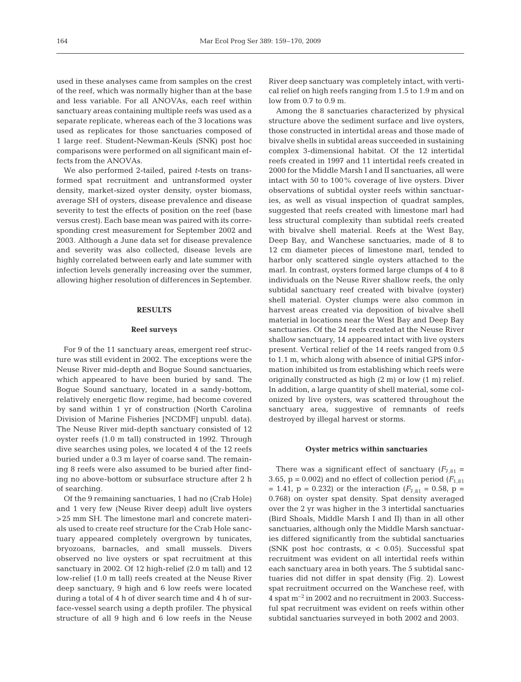used in these analyses came from samples on the crest of the reef, which was normally higher than at the base and less variable. For all ANOVAs, each reef within sanctuary areas containing multiple reefs was used as a separate replicate, whereas each of the 3 locations was used as replicates for those sanctuaries composed of 1 large reef. Student-Newman-Keuls (SNK) post hoc comparisons were performed on all significant main effects from the ANOVAs.

We also performed 2-tailed, paired *t*-tests on transformed spat recruitment and untransformed oyster density, market-sized oyster density, oyster biomass, average SH of oysters, disease prevalence and disease severity to test the effects of position on the reef (base versus crest). Each base mean was paired with its corresponding crest measurement for September 2002 and 2003. Although a June data set for disease prevalence and severity was also collected, disease levels are highly correlated between early and late summer with infection levels generally increasing over the summer, allowing higher resolution of differences in September.

## **RESULTS**

## **Reef surveys**

For 9 of the 11 sanctuary areas, emergent reef structure was still evident in 2002. The exceptions were the Neuse River mid-depth and Bogue Sound sanctuaries, which appeared to have been buried by sand. The Bogue Sound sanctuary, located in a sandy-bottom, relatively energetic flow regime, had become covered by sand within 1 yr of construction (North Carolina Division of Marine Fisheries [NCDMF] unpubl. data). The Neuse River mid-depth sanctuary consisted of 12 oyster reefs (1.0 m tall) constructed in 1992. Through dive searches using poles, we located 4 of the 12 reefs buried under a 0.3 m layer of coarse sand. The remaining 8 reefs were also assumed to be buried after finding no above-bottom or subsurface structure after 2 h of searching.

Of the 9 remaining sanctuaries, 1 had no (Crab Hole) and 1 very few (Neuse River deep) adult live oysters >25 mm SH. The limestone marl and concrete materials used to create reef structure for the Crab Hole sanctuary appeared completely overgrown by tunicates, bryozoans, barnacles, and small mussels. Divers observed no live oysters or spat recruitment at this sanctuary in 2002. Of 12 high-relief (2.0 m tall) and 12 low-relief (1.0 m tall) reefs created at the Neuse River deep sanctuary, 9 high and 6 low reefs were located during a total of 4 h of diver search time and 4 h of surface-vessel search using a depth profiler. The physical structure of all 9 high and 6 low reefs in the Neuse

River deep sanctuary was completely intact, with vertical relief on high reefs ranging from 1.5 to 1.9 m and on low from 0.7 to 0.9 m.

Among the 8 sanctuaries characterized by physical structure above the sediment surface and live oysters, those constructed in intertidal areas and those made of bivalve shells in subtidal areas succeeded in sustaining complex 3-dimensional habitat. Of the 12 intertidal reefs created in 1997 and 11 intertidal reefs created in 2000 for the Middle Marsh I and II sanctuaries, all were intact with 50 to 100% coverage of live oysters. Diver observations of subtidal oyster reefs within sanctuaries, as well as visual inspection of quadrat samples, suggested that reefs created with limestone marl had less structural complexity than subtidal reefs created with bivalve shell material. Reefs at the West Bay, Deep Bay, and Wanchese sanctuaries, made of 8 to 12 cm diameter pieces of limestone marl, tended to harbor only scattered single oysters attached to the marl. In contrast, oysters formed large clumps of 4 to 8 individuals on the Neuse River shallow reefs, the only subtidal sanctuary reef created with bivalve (oyster) shell material. Oyster clumps were also common in harvest areas created via deposition of bivalve shell material in locations near the West Bay and Deep Bay sanctuaries. Of the 24 reefs created at the Neuse River shallow sanctuary, 14 appeared intact with live oysters present. Vertical relief of the 14 reefs ranged from 0.5 to 1.1 m, which along with absence of initial GPS information inhibited us from establishing which reefs were originally constructed as high (2 m) or low (1 m) relief. In addition, a large quantity of shell material, some colonized by live oysters, was scattered throughout the sanctuary area, suggestive of remnants of reefs destroyed by illegal harvest or storms.

### **Oyster metrics within sanctuaries**

There was a significant effect of sanctuary  $(F_{7,81} =$ 3.65,  $p = 0.002$ ) and no effect of collection period  $(F_{1,81})$  $= 1.41$ ,  $p = 0.232$ ) or the interaction ( $F_{7,81} = 0.58$ ,  $p =$ 0.768) on oyster spat density. Spat density averaged over the 2 yr was higher in the 3 intertidal sanctuaries (Bird Shoals, Middle Marsh I and II) than in all other sanctuaries, although only the Middle Marsh sanctuaries differed significantly from the subtidal sanctuaries (SNK post hoc contrasts,  $\alpha$  < 0.05). Successful spat recruitment was evident on all intertidal reefs within each sanctuary area in both years. The 5 subtidal sanctuaries did not differ in spat density (Fig. 2). Lowest spat recruitment occurred on the Wanchese reef, with  $4$  spat  $m^{-2}$  in 2002 and no recruitment in 2003. Successful spat recruitment was evident on reefs within other subtidal sanctuaries surveyed in both 2002 and 2003.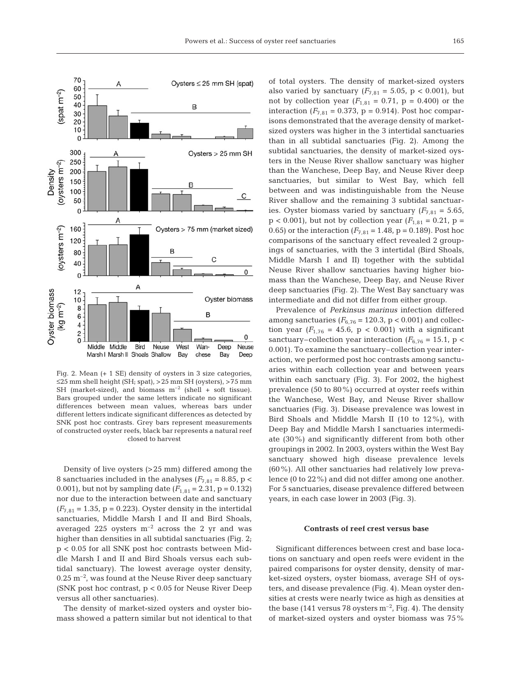

Fig. 2. Mean (+ 1 SE) density of oysters in 3 size categories, ≤25 mm shell height (SH; spat), >25 mm SH (oysters), >75 mm SH (market-sized), and biomass  $m^{-2}$  (shell + soft tissue). Bars grouped under the same letters indicate no significant differences between mean values, whereas bars under different letters indicate significant differences as detected by SNK post hoc contrasts. Grey bars represent measurements of constructed oyster reefs, black bar represents a natural reef closed to harvest

Density of live oysters (>25 mm) differed among the 8 sanctuaries included in the analyses  $(F_{7,81} = 8.85, p <$ 0.001), but not by sampling date  $(F_{1,81} = 2.31, p = 0.132)$ nor due to the interaction between date and sanctuary  $(F_{7,81} = 1.35, p = 0.223)$ . Oyster density in the intertidal sanctuaries, Middle Marsh I and II and Bird Shoals, averaged 225 oysters  $m^{-2}$  across the 2 yr and was higher than densities in all subtidal sanctuaries (Fig. 2; p < 0.05 for all SNK post hoc contrasts between Middle Marsh I and II and Bird Shoals versus each subtidal sanctuary). The lowest average oyster density,  $0.25 \text{ m}^{-2}$ , was found at the Neuse River deep sanctuary (SNK post hoc contrast, p < 0.05 for Neuse River Deep versus all other sanctuaries).

The density of market-sized oysters and oyster biomass showed a pattern similar but not identical to that of total oysters. The density of market-sized oysters also varied by sanctuary  $(F_{7,81} = 5.05, p < 0.001)$ , but not by collection year  $(F_{1,81} = 0.71, p = 0.400)$  or the interaction  $(F_{7,81} = 0.373, p = 0.914)$ . Post hoc comparisons demonstrated that the average density of marketsized oysters was higher in the 3 intertidal sanctuaries than in all subtidal sanctuaries (Fig. 2). Among the subtidal sanctuaries, the density of market-sized oysters in the Neuse River shallow sanctuary was higher than the Wanchese, Deep Bay, and Neuse River deep sanctuaries, but similar to West Bay, which fell between and was indistinguishable from the Neuse River shallow and the remaining 3 subtidal sanctuaries. Oyster biomass varied by sanctuary  $(F_{7,81} = 5.65,$  $p < 0.001$ ), but not by collection year ( $F_{1,81} = 0.21$ ,  $p =$ 0.65) or the interaction  $(F_{7,81} = 1.48, p = 0.189)$ . Post hoc comparisons of the sanctuary effect revealed 2 groupings of sanctuaries, with the 3 intertidal (Bird Shoals, Middle Marsh I and II) together with the subtidal Neuse River shallow sanctuaries having higher biomass than the Wanchese, Deep Bay, and Neuse River deep sanctuaries (Fig. 2). The West Bay sanctuary was intermediate and did not differ from either group.

Prevalence of *Perkinsus marinus* infection differed among sanctuaries ( $F_{6,76}$  = 120.3, p < 0.001) and collection year  $(F_{1,76} = 45.6, p < 0.001)$  with a significant sanctuary–collection year interaction ( $F_{6,76}$  = 15.1, p < 0.001). To examine the sanctuary–collection year interaction, we performed post hoc contrasts among sanctuaries within each collection year and between years within each sanctuary (Fig. 3). For 2002, the highest prevalence (50 to 80%) occurred at oyster reefs within the Wanchese, West Bay, and Neuse River shallow sanctuaries (Fig. 3). Disease prevalence was lowest in Bird Shoals and Middle Marsh II (10 to 12%), with Deep Bay and Middle Marsh I sanctuaries intermediate (30%) and significantly different from both other groupings in 2002. In 2003, oysters within the West Bay sanctuary showed high disease prevalence levels (60%). All other sanctuaries had relatively low prevalence (0 to 22%) and did not differ among one another. For 5 sanctuaries, disease prevalence differed between years, in each case lower in 2003 (Fig. 3).

### **Contrasts of reef crest versus base**

Significant differences between crest and base locations on sanctuary and open reefs were evident in the paired comparisons for oyster density, density of market-sized oysters, oyster biomass, average SH of oysters, and disease prevalence (Fig. 4). Mean oyster densities at crests were nearly twice as high as densities at the base (141 versus 78 oysters  $m^{-2}$ , Fig. 4). The density of market-sized oysters and oyster biomass was 75%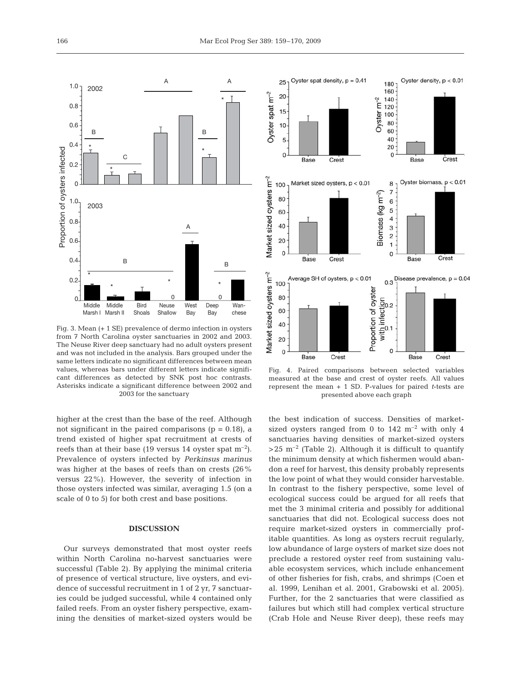

Fig. 3. Mean (+ 1 SE) prevalence of dermo infection in oysters from 7 North Carolina oyster sanctuaries in 2002 and 2003. The Neuse River deep sanctuary had no adult oysters present and was not included in the analysis. Bars grouped under the same letters indicate no significant differences between mean values, whereas bars under different letters indicate significant differences as detected by SNK post hoc contrasts. Asterisks indicate a significant difference between 2002 and 2003 for the sanctuary

higher at the crest than the base of the reef. Although not significant in the paired comparisons ( $p = 0.18$ ), a trend existed of higher spat recruitment at crests of reefs than at their base (19 versus 14 oyster spat  $m^{-2}$ ). Prevalence of oysters infected by *Perkinsus marinus* was higher at the bases of reefs than on crests (26% versus 22%). However, the severity of infection in those oysters infected was similar, averaging 1.5 (on a scale of 0 to 5) for both crest and base positions.

## **DISCUSSION**

Our surveys demonstrated that most oyster reefs within North Carolina no-harvest sanctuaries were successful (Table 2). By applying the minimal criteria of presence of vertical structure, live oysters, and evidence of successful recruitment in 1 of 2 yr, 7 sanctuaries could be judged successful, while 4 contained only failed reefs. From an oyster fishery perspective, examining the densities of market-sized oysters would be



Fig. 4. Paired comparisons between selected variables measured at the base and crest of oyster reefs. All values represent the mean + 1 SD. P-values for paired *t*-tests are presented above each graph

the best indication of success. Densities of marketsized oysters ranged from 0 to  $142 \text{ m}^{-2}$  with only 4 sanctuaries having densities of market-sized oysters  $>25$  m<sup>-2</sup> (Table 2). Although it is difficult to quantify the minimum density at which fishermen would abandon a reef for harvest, this density probably represents the low point of what they would consider harvestable. In contrast to the fishery perspective, some level of ecological success could be argued for all reefs that met the 3 minimal criteria and possibly for additional sanctuaries that did not. Ecological success does not require market-sized oysters in commercially profitable quantities. As long as oysters recruit regularly, low abundance of large oysters of market size does not preclude a restored oyster reef from sustaining valuable ecosystem services, which include enhancement of other fisheries for fish, crabs, and shrimps (Coen et al. 1999, Lenihan et al. 2001, Grabowski et al. 2005). Further, for the 2 sanctuaries that were classified as failures but which still had complex vertical structure (Crab Hole and Neuse River deep), these reefs may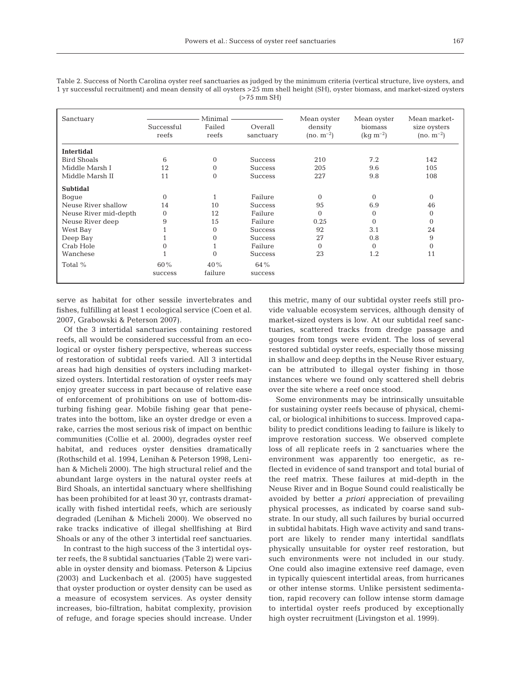Table 2. Success of North Carolina oyster reef sanctuaries as judged by the minimum criteria (vertical structure, live oysters, and 1 yr successful recruitment) and mean density of all oysters >25 mm shell height (SH), oyster biomass, and market-sized oysters (>75 mm SH)

| Sanctuary             |                     | Minimal         |                      | Mean oyster               | Mean oyster                     | Mean market-                   |
|-----------------------|---------------------|-----------------|----------------------|---------------------------|---------------------------------|--------------------------------|
|                       | Successful<br>reefs | Failed<br>reefs | Overall<br>sanctuary | density<br>$(no. m^{-2})$ | biomass<br>$\rm (kg \; m^{-2})$ | size oysters<br>$(no. m^{-2})$ |
| <b>Intertidal</b>     |                     |                 |                      |                           |                                 |                                |
| <b>Bird Shoals</b>    | 6                   | $\Omega$        | <b>Success</b>       | 210                       | 7.2                             | 142                            |
| Middle Marsh I        | 12                  | $\Omega$        | <b>Success</b>       | 205                       | 9.6                             | 10.5                           |
| Middle Marsh II       | 11                  | $\Omega$        | <b>Success</b>       | 227                       | 9.8                             | 108                            |
| <b>Subtidal</b>       |                     |                 |                      |                           |                                 |                                |
| Boque                 | $\Omega$            |                 | Failure              | $\Omega$                  | $\Omega$                        | $\Omega$                       |
| Neuse River shallow   | 14                  | 10              | <b>Success</b>       | 95                        | 6.9                             | 46                             |
| Neuse River mid-depth | $\Omega$            | 12              | Failure              | $\Omega$                  | $\Omega$                        | 0                              |
| Neuse River deep      | 9                   | 15              | Failure              | 0.25                      | $\Omega$                        | $\Omega$                       |
| West Bay              |                     | $\Omega$        | <b>Success</b>       | 92                        | 3.1                             | 24                             |
| Deep Bay              |                     | 0               | <b>Success</b>       | 27                        | 0.8                             | 9                              |
| Crab Hole             |                     |                 | Failure              | $\Omega$                  | $\Omega$                        | $\Omega$                       |
| Wanchese              |                     | $\Omega$        | <b>Success</b>       | 23                        | 1.2                             | 11                             |
| Total %               | 60%                 | 40%             | 64 %                 |                           |                                 |                                |
|                       | success             | failure         | success              |                           |                                 |                                |

serve as habitat for other sessile invertebrates and fishes, fulfilling at least 1 ecological service (Coen et al. 2007, Grabowski & Peterson 2007).

Of the 3 intertidal sanctuaries containing restored reefs, all would be considered successful from an ecological or oyster fishery perspective, whereas success of restoration of subtidal reefs varied. All 3 intertidal areas had high densities of oysters including marketsized oysters. Intertidal restoration of oyster reefs may enjoy greater success in part because of relative ease of enforcement of prohibitions on use of bottom-disturbing fishing gear. Mobile fishing gear that penetrates into the bottom, like an oyster dredge or even a rake, carries the most serious risk of impact on benthic communities (Collie et al. 2000), degrades oyster reef habitat, and reduces oyster densities dramatically (Rothschild et al. 1994, Lenihan & Peterson 1998, Lenihan & Micheli 2000). The high structural relief and the abundant large oysters in the natural oyster reefs at Bird Shoals, an intertidal sanctuary where shellfishing has been prohibited for at least 30 yr, contrasts dramatically with fished intertidal reefs, which are seriously degraded (Lenihan & Micheli 2000). We observed no rake tracks indicative of illegal shellfishing at Bird Shoals or any of the other 3 intertidal reef sanctuaries.

In contrast to the high success of the 3 intertidal oyster reefs, the 8 subtidal sanctuaries (Table 2) were variable in oyster density and biomass. Peterson & Lipcius (2003) and Luckenbach et al. (2005) have suggested that oyster production or oyster density can be used as a measure of ecosystem services. As oyster density increases, bio-filtration, habitat complexity, provision of refuge, and forage species should increase. Under this metric, many of our subtidal oyster reefs still provide valuable ecosystem services, although density of market-sized oysters is low. At our subtidal reef sanctuaries, scattered tracks from dredge passage and gouges from tongs were evident. The loss of several restored subtidal oyster reefs, especially those missing in shallow and deep depths in the Neuse River estuary, can be attributed to illegal oyster fishing in those instances where we found only scattered shell debris over the site where a reef once stood.

Some environments may be intrinsically unsuitable for sustaining oyster reefs because of physical, chemical, or biological inhibitions to success. Improved capability to predict conditions leading to failure is likely to improve restoration success. We observed complete loss of all replicate reefs in 2 sanctuaries where the environment was apparently too energetic, as reflected in evidence of sand transport and total burial of the reef matrix. These failures at mid-depth in the Neuse River and in Bogue Sound could realistically be avoided by better *a priori* appreciation of prevailing physical processes, as indicated by coarse sand substrate. In our study, all such failures by burial occurred in subtidal habitats. High wave activity and sand transport are likely to render many intertidal sandflats physically unsuitable for oyster reef restoration, but such environments were not included in our study. One could also imagine extensive reef damage, even in typically quiescent intertidal areas, from hurricanes or other intense storms. Unlike persistent sedimentation, rapid recovery can follow intense storm damage to intertidal oyster reefs produced by exceptionally high oyster recruitment (Livingston et al. 1999).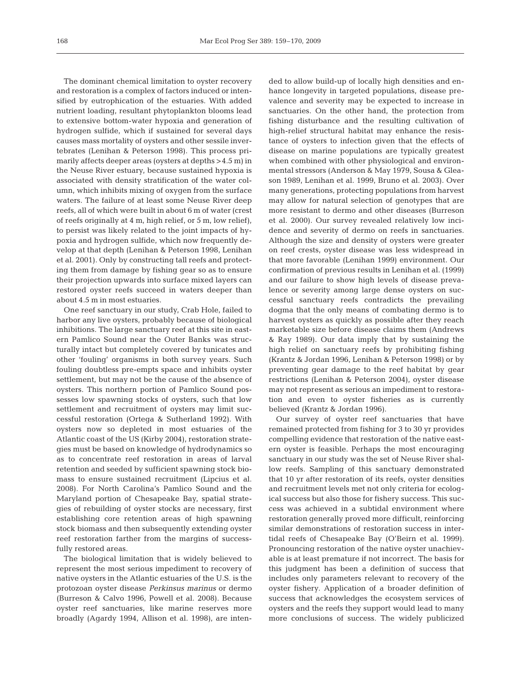The dominant chemical limitation to oyster recovery and restoration is a complex of factors induced or intensified by eutrophication of the estuaries. With added nutrient loading, resultant phytoplankton blooms lead to extensive bottom-water hypoxia and generation of hydrogen sulfide, which if sustained for several days causes mass mortality of oysters and other sessile invertebrates (Lenihan & Peterson 1998). This process primarily affects deeper areas (oysters at depths >4.5 m) in the Neuse River estuary, because sustained hypoxia is associated with density stratification of the water column, which inhibits mixing of oxygen from the surface waters. The failure of at least some Neuse River deep reefs, all of which were built in about 6 m of water (crest of reefs originally at 4 m, high relief, or 5 m, low relief), to persist was likely related to the joint impacts of hypoxia and hydrogen sulfide, which now frequently develop at that depth (Lenihan & Peterson 1998, Lenihan et al. 2001). Only by constructing tall reefs and protecting them from damage by fishing gear so as to ensure their projection upwards into surface mixed layers can restored oyster reefs succeed in waters deeper than about 4.5 m in most estuaries.

One reef sanctuary in our study, Crab Hole, failed to harbor any live oysters, probably because of biological inhibitions. The large sanctuary reef at this site in eastern Pamlico Sound near the Outer Banks was structurally intact but completely covered by tunicates and other 'fouling' organisms in both survey years. Such fouling doubtless pre-empts space and inhibits oyster settlement, but may not be the cause of the absence of oysters. This northern portion of Pamlico Sound possesses low spawning stocks of oysters, such that low settlement and recruitment of oysters may limit successful restoration (Ortega & Sutherland 1992). With oysters now so depleted in most estuaries of the Atlantic coast of the US (Kirby 2004), restoration strategies must be based on knowledge of hydrodynamics so as to concentrate reef restoration in areas of larval retention and seeded by sufficient spawning stock biomass to ensure sustained recruitment (Lipcius et al. 2008). For North Carolina's Pamlico Sound and the Maryland portion of Chesapeake Bay, spatial strategies of rebuilding of oyster stocks are necessary, first establishing core retention areas of high spawning stock biomass and then subsequently extending oyster reef restoration farther from the margins of successfully restored areas.

The biological limitation that is widely believed to represent the most serious impediment to recovery of native oysters in the Atlantic estuaries of the U.S. is the protozoan oyster disease *Perkinsus marinus* or dermo (Burreson & Calvo 1996, Powell et al. 2008). Because oyster reef sanctuaries, like marine reserves more broadly (Agardy 1994, Allison et al. 1998), are intended to allow build-up of locally high densities and enhance longevity in targeted populations, disease prevalence and severity may be expected to increase in sanctuaries. On the other hand, the protection from fishing disturbance and the resulting cultivation of high-relief structural habitat may enhance the resistance of oysters to infection given that the effects of disease on marine populations are typically greatest when combined with other physiological and environmental stressors (Anderson & May 1979, Sousa & Gleason 1989, Lenihan et al. 1999, Bruno et al. 2003). Over many generations, protecting populations from harvest may allow for natural selection of genotypes that are more resistant to dermo and other diseases (Burreson et al. 2000). Our survey revealed relatively low incidence and severity of dermo on reefs in sanctuaries. Although the size and density of oysters were greater on reef crests, oyster disease was less widespread in that more favorable (Lenihan 1999) environment. Our confirmation of previous results in Lenihan et al. (1999) and our failure to show high levels of disease prevalence or severity among large dense oysters on successful sanctuary reefs contradicts the prevailing dogma that the only means of combating dermo is to harvest oysters as quickly as possible after they reach marketable size before disease claims them (Andrews & Ray 1989). Our data imply that by sustaining the high relief on sanctuary reefs by prohibiting fishing (Krantz & Jordan 1996, Lenihan & Peterson 1998) or by preventing gear damage to the reef habitat by gear restrictions (Lenihan & Peterson 2004), oyster disease may not represent as serious an impediment to restoration and even to oyster fisheries as is currently believed (Krantz & Jordan 1996).

Our survey of oyster reef sanctuaries that have remained protected from fishing for 3 to 30 yr provides compelling evidence that restoration of the native eastern oyster is feasible. Perhaps the most encouraging sanctuary in our study was the set of Neuse River shallow reefs. Sampling of this sanctuary demonstrated that 10 yr after restoration of its reefs, oyster densities and recruitment levels met not only criteria for ecological success but also those for fishery success. This success was achieved in a subtidal environment where restoration generally proved more difficult, reinforcing similar demonstrations of restoration success in intertidal reefs of Chesapeake Bay (O'Beirn et al. 1999). Pronouncing restoration of the native oyster unachievable is at least premature if not incorrect. The basis for this judgment has been a definition of success that includes only parameters relevant to recovery of the oyster fishery. Application of a broader definition of success that acknowledges the ecosystem services of oysters and the reefs they support would lead to many more conclusions of success. The widely publicized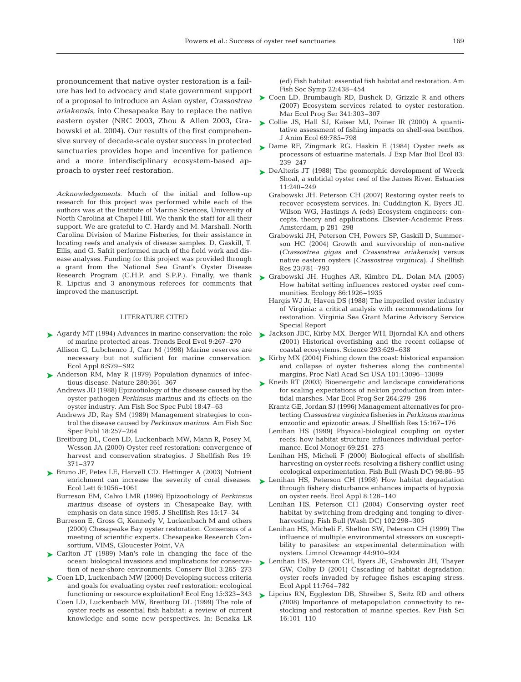pronouncement that native oyster restoration is a failure has led to advocacy and state government support of a proposal to introduce an Asian oyster, *Crassostrea ariakensis*, into Chesapeake Bay to replace the native eastern oyster (NRC 2003, Zhou & Allen 2003, Grabowski et al. 2004). Our results of the first comprehensive survey of decade-scale oyster success in protected sanctuaries provides hope and incentive for patience and a more interdisciplinary ecosystem-based approach to oyster reef restoration.

*Acknowledgements.* Much of the initial and follow-up research for this project was performed while each of the authors was at the Institute of Marine Sciences, University of North Carolina at Chapel Hill. We thank the staff for all their support. We are grateful to C. Hardy and M. Marshall, North Carolina Division of Marine Fisheries, for their assistance in locating reefs and analysis of disease samples. D. Gaskill, T. Ellis, and G. Safrit performed much of the field work and disease analyses. Funding for this project was provided through a grant from the National Sea Grant's Oyster Disease Research Program (C.H.P. and S.P.P.). Finally, we thank R. Lipcius and 3 anonymous referees for comments that improved the manuscript.

## LITERATURE CITED

- ► Agardy MT (1994) Advances in marine conservation: the role of marine protected areas. Trends Ecol Evol 9:267–270
	- Allison G, Lubchenco J, Carr M (1998) Marine reserves are necessary but not sufficient for marine conservation. Ecol Appl 8:S79–S92
- ► Anderson RM, May R (1979) Population dynamics of infectious disease. Nature 280:361–367
	- Andrews JD (1988) Epizootiology of the disease caused by the oyster pathogen *Perkinsus marinus* and its effects on the oyster industry. Am Fish Soc Spec Publ 18:47–63
	- Andrews JD, Ray SM (1989) Management strategies to control the disease caused by *Perkinsus marinus.* Am Fish Soc Spec Publ 18:257–264
	- Breitburg DL, Coen LD, Luckenbach MW, Mann R, Posey M, Wesson JA (2000) Oyster reef restoration: convergence of harvest and conservation strategies. J Shellfish Res 19: 371–377
- ▶ Bruno JF, Petes LE, Harvell CD, Hettinger A (2003) Nutrient enrichment can increase the severity of coral diseases. Ecol Lett 6:1056–1061
	- Burreson EM, Calvo LMR (1996) Epizootiology of *Perkinsus marinus* disease of oysters in Chesapeake Bay, with emphasis on data since 1985. J Shellfish Res 15:17–34
	- Burreson E, Gross G, Kennedy V, Luckenbach M and others (2000) Chesapeake Bay oyster restoration. Consensus of a meeting of scientific experts. Chesapeake Research Consortium, VIMS, Gloucester Point, VA
- ► Carlton JT (1989) Man's role in changing the face of the ocean: biological invasions and implications for conservation of near-shore environments. Conserv Biol 3:265–273
- ► Coen LD, Luckenbach MW (2000) Developing success criteria and goals for evaluating oyster reef restoration: ecological functioning or resource exploitation? Ecol Eng 15:323–343 Coen LD, Luckenbach MW, Breitburg DL (1999) The role of oyster reefs as essential fish habitat: a review of current knowledge and some new perspectives. In: Benaka LR

(ed) Fish habitat: essential fish habitat and restoration. Am Fish Soc Symp 22:438–454

- ▶ Coen LD, Brumbaugh RD, Bushek D, Grizzle R and others (2007) Ecosystem services related to oyster restoration. Mar Ecol Prog Ser 341:303–307
- ► Collie JS, Hall SJ, Kaiser MJ, Poiner IR (2000) A quantitative assessment of fishing impacts on shelf-sea benthos. J Anim Ecol 69:785–798
- ► Dame RF, Zingmark RG, Haskin E (1984) Oyster reefs as processors of estuarine materials. J Exp Mar Biol Ecol 83: 239–247
- ► DeAlteris JT (1988) The geomorphic development of Wreck Shoal, a subtidal oyster reef of the James River. Estuaries 11:240–249
	- Grabowski JH, Peterson CH (2007) Restoring oyster reefs to recover ecosystem services. In: Cuddington K, Byers JE, Wilson WG, Hastings A (eds) Ecosystem engineers: concepts, theory and applications. Elsevier-Academic Press, Amsterdam, p 281–298
	- Grabowski JH, Peterson CH, Powers SP, Gaskill D, Summerson HC (2004) Growth and survivorship of non-native (*Crassostrea gigas* and *Crassostrea ariakensis)* versus native eastern oysters (*Crassostrea virginica*). J Shellfish Res 23:781–793
- ► Grabowski JH, Hughes AR, Kimbro DL, Dolan MA (2005) How habitat setting influences restored oyster reef communities. Ecology 86:1926–1935
	- Hargis WJ Jr, Haven DS (1988) The imperiled oyster industry of Virginia: a critical analysis with recommendations for restoration. Virginia Sea Grant Marine Advisory Service Special Report
- ► Jackson JBC, Kirby MX, Berger WH, Bjorndal KA and others (2001) Historical overfishing and the recent collapse of coastal ecosystems. Science 293:629–638
- ► Kirby MX (2004) Fishing down the coast: historical expansion and collapse of oyster fisheries along the continental margins. Proc Natl Acad Sci USA 101:13096–13099
- ► Kneib RT (2003) Bioenergetic and landscape considerations for scaling expectations of nekton production from intertidal marshes. Mar Ecol Prog Ser 264:279–296
	- Krantz GE, Jordan SJ (1996) Management alternatives for protecting *Crassostrea virginica* fisheries in *Perkinsus marinus* enzootic and epizootic areas. J Shellfish Res 15:167–176
	- Lenihan HS (1999) Physical-biological coupling on oyster reefs: how habitat structure influences individual performance. Ecol Monogr 69:251–275
	- Lenihan HS, Micheli F (2000) Biological effects of shellfish harvesting on oyster reefs: resolving a fishery conflict using ecological experimentation. Fish Bull (Wash DC) 98:86–95
- ▶ Lenihan HS, Peterson CH (1998) How habitat degradation through fishery disturbance enhances impacts of hypoxia on oyster reefs. Ecol Appl 8:128–140
	- Lenihan HS, Peterson CH (2004) Conserving oyster reef habitat by switching from dredging and tonging to diverharvesting. Fish Bull (Wash DC) 102:298–305
	- Lenihan HS, Micheli F, Shelton SW, Peterson CH (1999) The influence of multiple environmental stressors on susceptibility to parasites: an experimental determination with oysters. Limnol Oceanogr 44:910–924
- ► Lenihan HS, Peterson CH, Byers JE, Grabowski JH, Thayer GW, Colby D (2001) Cascading of habitat degradation: oyster reefs invaded by refugee fishes escaping stress. Ecol Appl 11:764–782
- ► Lipcius RN, Eggleston DB, Shreiber S, Seitz RD and others (2008) Importance of metapopulation connectivity to restocking and restoration of marine species. Rev Fish Sci 16:101–110